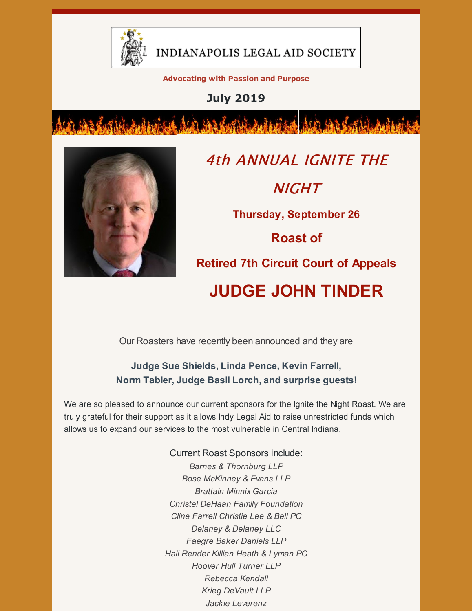

INDIANAPOLIS LEGAL AID SOCIETY

**Advocating with Passion and Purpose**

**July 2019**



4th ANNUAL IGNITE THE **NIGHT Thursday, September 26 Roast of Retired 7th Circuit Court of Appeals JUDGE JOHN TINDER**

Our Roasters have recently been announced and they are

**Judge Sue Shields, Linda Pence, Kevin Farrell, Norm Tabler, Judge Basil Lorch, and surprise guests!**

We are so pleased to announce our current sponsors for the Ignite the Night Roast. We are truly grateful for their support as it allows Indy Legal Aid to raise unrestricted funds which allows us to expand our services to the most vulnerable in Central Indiana.

#### Current Roast Sponsors include:

*Barnes & Thornburg LLP Bose McKinney & Evans LLP Brattain Minnix Garcia Christel DeHaan Family Foundation Cline Farrell Christie Lee & Bell PC Delaney & Delaney LLC Faegre Baker Daniels LLP Hall Render Killian Heath & Lyman PC Hoover Hull Turner LLP Rebecca Kendall Krieg DeVault LLP Jackie Leverenz*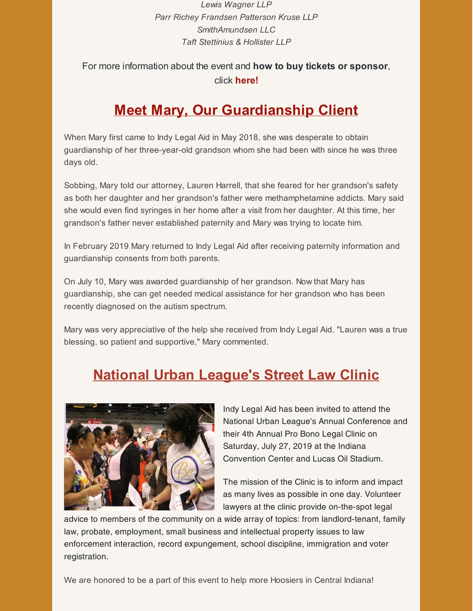*Lewis Wagner LLP Parr Richey Frandsen Patterson Kruse LLP SmithAmundsen LLC Taft Stettinius & Hollister LLP*

#### For more information about the event and **how to buy tickets or sponsor**, click **[here](https://www.indylas.org/ignite)[!](https://em-ui.constantcontact.com/em-ui/em/page/em-ui/email#)**

### **Meet Mary, Our Guardianship Client**

When Mary first came to Indy Legal Aid in May 2018, she was desperate to obtain guardianship of her three-year-old grandson whom she had been with since he was three days old.

Sobbing, Mary told our attorney, Lauren Harrell, that she feared for her grandson's safety as both her daughter and her grandson's father were methamphetamine addicts. Mary said she would even find syringes in her home after a visit from her daughter. At this time, her grandson's father never established paternity and Mary was trying to locate him.

In February 2019 Mary returned to Indy Legal Aid after receiving paternity information and guardianship consents from both parents.

On July 10, Mary was awarded guardianship of her grandson. Now that Mary has guardianship, she can get needed medical assistance for her grandson who has been recently diagnosed on the autism spectrum.

Mary was very appreciative of the help she received from Indy Legal Aid. "Lauren was a true blessing, so patient and supportive," Mary commented.

### **National Urban League's Street Law Clinic**



Indy Legal Aid has been invited to attend the National Urban League's Annual Conference and their 4th Annual Pro Bono Legal Clinic on Saturday, July 27, 2019 at the Indiana Convention Center and Lucas Oil Stadium.

The mission of the Clinic is to inform and impact as many lives as possible in one day. Volunteer lawyers at the clinic provide on-the-spot legal

advice to members of the community on a wide array of topics: from landlord-tenant, family law, probate, employment, small business and intellectual property issues to law enforcement interaction, record expungement, school discipline, immigration and voter registration.

We are honored to be a part of this event to help more Hoosiers in Central Indiana!